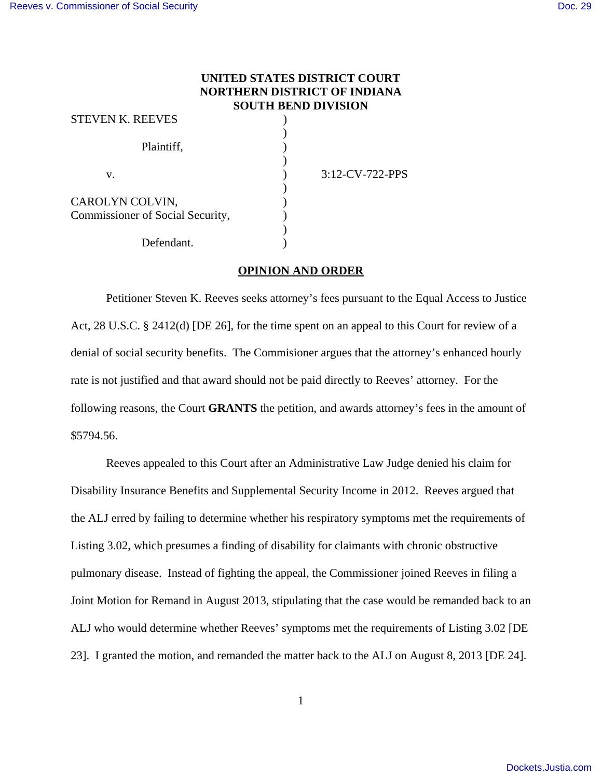## **UNITED STATES DISTRICT COURT NORTHERN DISTRICT OF INDIANA SOUTH BEND DIVISION**

| <b>STEVEN K. REEVES</b>          |                 |  |
|----------------------------------|-----------------|--|
| Plaintiff,                       |                 |  |
| v.                               | 3:12-CV-722-PPS |  |
| CAROLYN COLVIN,                  |                 |  |
| Commissioner of Social Security, |                 |  |
|                                  |                 |  |
| Defendant.                       |                 |  |

## **OPINION AND ORDER**

Petitioner Steven K. Reeves seeks attorney's fees pursuant to the Equal Access to Justice Act, 28 U.S.C. § 2412(d) [DE 26], for the time spent on an appeal to this Court for review of a denial of social security benefits. The Commisioner argues that the attorney's enhanced hourly rate is not justified and that award should not be paid directly to Reeves' attorney. For the following reasons, the Court **GRANTS** the petition, and awards attorney's fees in the amount of \$5794.56.

Reeves appealed to this Court after an Administrative Law Judge denied his claim for Disability Insurance Benefits and Supplemental Security Income in 2012. Reeves argued that the ALJ erred by failing to determine whether his respiratory symptoms met the requirements of Listing 3.02, which presumes a finding of disability for claimants with chronic obstructive pulmonary disease. Instead of fighting the appeal, the Commissioner joined Reeves in filing a Joint Motion for Remand in August 2013, stipulating that the case would be remanded back to an ALJ who would determine whether Reeves' symptoms met the requirements of Listing 3.02 [DE 23]. I granted the motion, and remanded the matter back to the ALJ on August 8, 2013 [DE 24].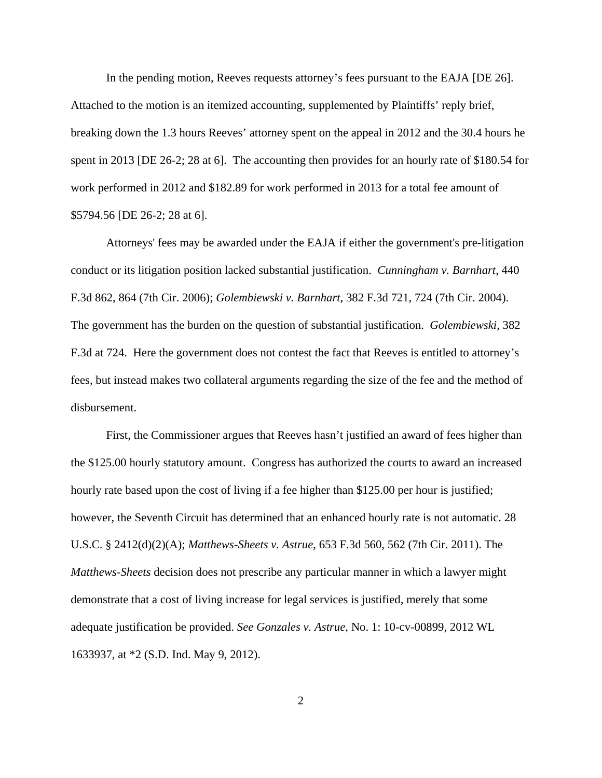In the pending motion, Reeves requests attorney's fees pursuant to the EAJA [DE 26]. Attached to the motion is an itemized accounting, supplemented by Plaintiffs' reply brief, breaking down the 1.3 hours Reeves' attorney spent on the appeal in 2012 and the 30.4 hours he spent in 2013 [DE 26-2; 28 at 6]. The accounting then provides for an hourly rate of \$180.54 for work performed in 2012 and \$182.89 for work performed in 2013 for a total fee amount of \$5794.56 [DE 26-2; 28 at 6].

Attorneys' fees may be awarded under the EAJA if either the government's pre-litigation conduct or its litigation position lacked substantial justification. *Cunningham v. Barnhart*, 440 F.3d 862, 864 (7th Cir. 2006); *Golembiewski v. Barnhart*, 382 F.3d 721, 724 (7th Cir. 2004). The government has the burden on the question of substantial justification. *Golembiewski*, 382 F.3d at 724. Here the government does not contest the fact that Reeves is entitled to attorney's fees, but instead makes two collateral arguments regarding the size of the fee and the method of disbursement.

First, the Commissioner argues that Reeves hasn't justified an award of fees higher than the \$125.00 hourly statutory amount. Congress has authorized the courts to award an increased hourly rate based upon the cost of living if a fee higher than \$125.00 per hour is justified; however, the Seventh Circuit has determined that an enhanced hourly rate is not automatic. 28 U.S.C. § 2412(d)(2)(A); *Matthews-Sheets v. Astrue*, 653 F.3d 560, 562 (7th Cir. 2011). The *Matthews-Sheets* decision does not prescribe any particular manner in which a lawyer might demonstrate that a cost of living increase for legal services is justified, merely that some adequate justification be provided. *See Gonzales v. Astrue*, No. 1: 10-cv-00899, 2012 WL 1633937, at \*2 (S.D. Ind. May 9, 2012).

2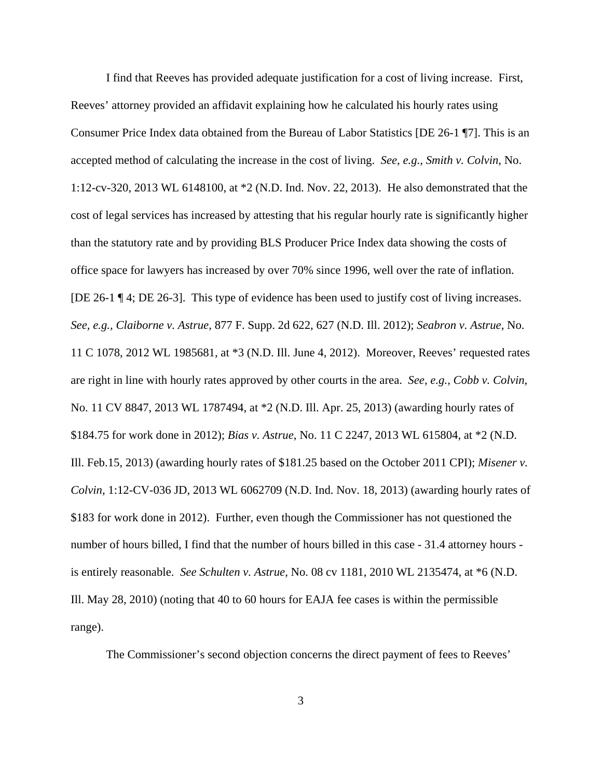I find that Reeves has provided adequate justification for a cost of living increase. First, Reeves' attorney provided an affidavit explaining how he calculated his hourly rates using Consumer Price Index data obtained from the Bureau of Labor Statistics [DE 26-1 ¶7]. This is an accepted method of calculating the increase in the cost of living. *See, e.g., Smith v. Colvin*, No. 1:12-cv-320, 2013 WL 6148100, at \*2 (N.D. Ind. Nov. 22, 2013). He also demonstrated that the cost of legal services has increased by attesting that his regular hourly rate is significantly higher than the statutory rate and by providing BLS Producer Price Index data showing the costs of office space for lawyers has increased by over 70% since 1996, well over the rate of inflation. [DE 26-1 ¶ 4; DE 26-3]. This type of evidence has been used to justify cost of living increases. *See, e.g., Claiborne v. Astrue*, 877 F. Supp. 2d 622, 627 (N.D. Ill. 2012); *Seabron v. Astrue*, No. 11 C 1078, 2012 WL 1985681, at \*3 (N.D. Ill. June 4, 2012). Moreover, Reeves' requested rates are right in line with hourly rates approved by other courts in the area. *See, e.g., Cobb v. Colvin*, No. 11 CV 8847, 2013 WL 1787494, at \*2 (N.D. Ill. Apr. 25, 2013) (awarding hourly rates of \$184.75 for work done in 2012); *Bias v. Astrue*, No. 11 C 2247, 2013 WL 615804, at \*2 (N.D. Ill. Feb.15, 2013) (awarding hourly rates of \$181.25 based on the October 2011 CPI); *Misener v. Colvin*, 1:12-CV-036 JD, 2013 WL 6062709 (N.D. Ind. Nov. 18, 2013) (awarding hourly rates of \$183 for work done in 2012). Further, even though the Commissioner has not questioned the number of hours billed, I find that the number of hours billed in this case - 31.4 attorney hours is entirely reasonable. *See Schulten v. Astrue,* No. 08 cv 1181, 2010 WL 2135474, at \*6 (N.D. Ill. May 28, 2010) (noting that 40 to 60 hours for EAJA fee cases is within the permissible range).

The Commissioner's second objection concerns the direct payment of fees to Reeves'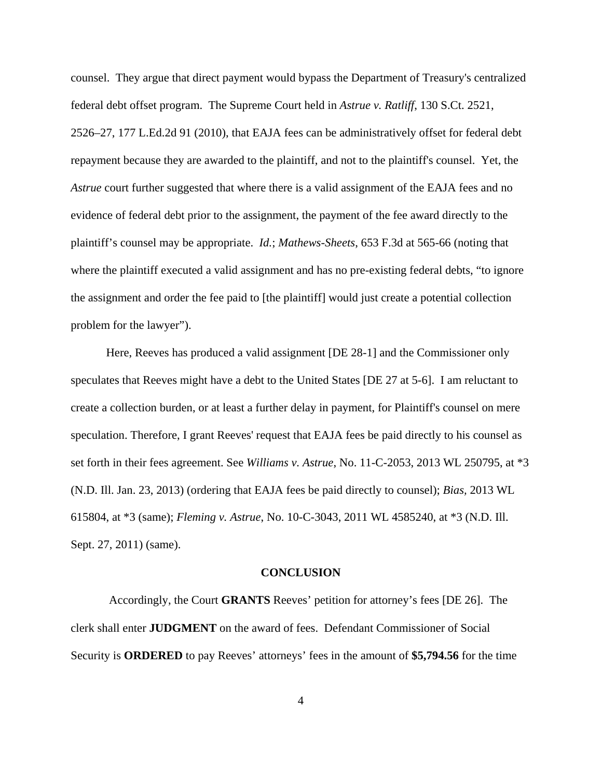counsel. They argue that direct payment would bypass the Department of Treasury's centralized federal debt offset program. The Supreme Court held in *Astrue v. Ratliff*, 130 S.Ct. 2521, 2526–27, 177 L.Ed.2d 91 (2010), that EAJA fees can be administratively offset for federal debt repayment because they are awarded to the plaintiff, and not to the plaintiff's counsel. Yet, the *Astrue* court further suggested that where there is a valid assignment of the EAJA fees and no evidence of federal debt prior to the assignment, the payment of the fee award directly to the plaintiff's counsel may be appropriate. *Id.*; *Mathews-Sheets*, 653 F.3d at 565-66 (noting that where the plaintiff executed a valid assignment and has no pre-existing federal debts, "to ignore the assignment and order the fee paid to [the plaintiff] would just create a potential collection problem for the lawyer").

Here, Reeves has produced a valid assignment [DE 28-1] and the Commissioner only speculates that Reeves might have a debt to the United States [DE 27 at 5-6]. I am reluctant to create a collection burden, or at least a further delay in payment, for Plaintiff's counsel on mere speculation. Therefore, I grant Reeves' request that EAJA fees be paid directly to his counsel as set forth in their fees agreement. See *Williams v. Astrue*, No. 11-C-2053, 2013 WL 250795, at \*3 (N.D. Ill. Jan. 23, 2013) (ordering that EAJA fees be paid directly to counsel); *Bias,* 2013 WL 615804, at \*3 (same); *Fleming v. Astrue*, No. 10-C-3043, 2011 WL 4585240, at \*3 (N.D. Ill. Sept. 27, 2011) (same).

## **CONCLUSION**

 Accordingly, the Court **GRANTS** Reeves' petition for attorney's fees [DE 26]. The clerk shall enter **JUDGMENT** on the award of fees. Defendant Commissioner of Social Security is **ORDERED** to pay Reeves' attorneys' fees in the amount of **\$5,794.56** for the time